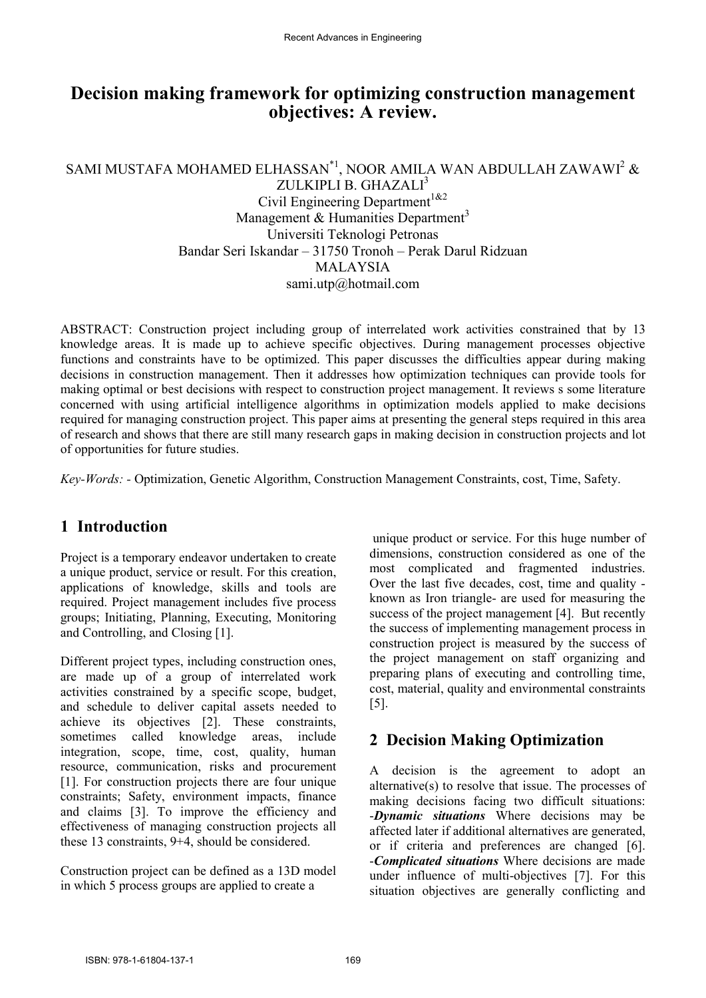# **Decision making framework for optimizing construction management objectives: A review.**

## SAMI MUSTAFA MOHAMED ELHASSAN $^{\ast}{}^{1},$  NOOR AMILA WAN ABDULLAH ZAWAWI $^{2}$  &

ZULKIPLI B. GHAZALI<sup>3</sup> Civil Engineering Department<sup>1&2</sup> Management  $&$  Humanities Department<sup>3</sup> Universiti Teknologi Petronas Bandar Seri Iskandar – 31750 Tronoh – Perak Darul Ridzuan MALAYSIA sami.utp@hotmail.com

ABSTRACT: Construction project including group of interrelated work activities constrained that by 13 knowledge areas. It is made up to achieve specific objectives. During management processes objective functions and constraints have to be optimized. This paper discusses the difficulties appear during making decisions in construction management. Then it addresses how optimization techniques can provide tools for making optimal or best decisions with respect to construction project management. It reviews s some literature concerned with using artificial intelligence algorithms in optimization models applied to make decisions required for managing construction project. This paper aims at presenting the general steps required in this area of research and shows that there are still many research gaps in making decision in construction projects and lot of opportunities for future studies.

*Key-Words: -* Optimization, Genetic Algorithm, Construction Management Constraints, cost, Time, Safety.

## **1 Introduction**

Project is a temporary endeavor undertaken to create a unique product, service or result. For this creation, applications of knowledge, skills and tools are required. Project management includes five process groups; Initiating, Planning, Executing, Monitoring and Controlling, and Closing [1].

Different project types, including construction ones, are made up of a group of interrelated work activities constrained by a specific scope, budget, and schedule to deliver capital assets needed to achieve its objectives [2]. These constraints, sometimes called knowledge areas, include integration, scope, time, cost, quality, human resource, communication, risks and procurement [1]. For construction projects there are four unique constraints; Safety, environment impacts, finance and claims [3]. To improve the efficiency and effectiveness of managing construction projects all these 13 constraints, 9+4, should be considered.

Construction project can be defined as a 13D model in which 5 process groups are applied to create a

 unique product or service. For this huge number of dimensions, construction considered as one of the most complicated and fragmented industries. Over the last five decades, cost, time and quality known as Iron triangle- are used for measuring the success of the project management [4]. But recently the success of implementing management process in construction project is measured by the success of the project management on staff organizing and preparing plans of executing and controlling time, cost, material, quality and environmental constraints [5].

# **2 Decision Making Optimization**

A decision is the agreement to adopt an alternative(s) to resolve that issue. The processes of making decisions facing two difficult situations: -*Dynamic situations* Where decisions may be affected later if additional alternatives are generated, or if criteria and preferences are changed [6]. -*Complicated situations* Where decisions are made under influence of multi-objectives [7]. For this situation objectives are generally conflicting and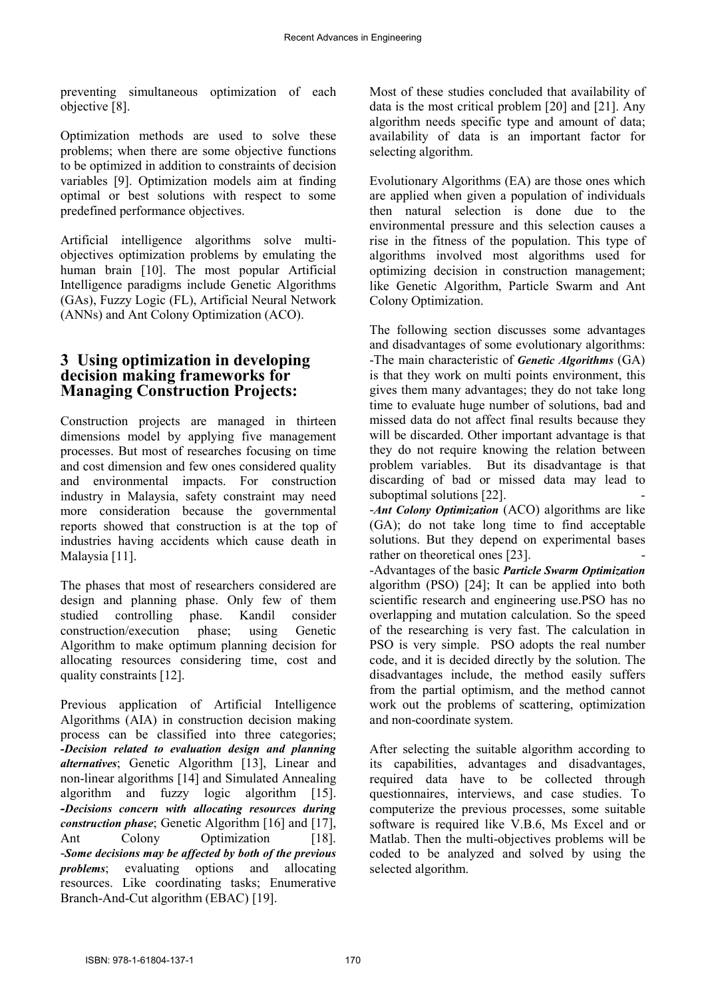preventing simultaneous optimization of each objective [8].

Optimization methods are used to solve these problems; when there are some objective functions to be optimized in addition to constraints of decision variables [9]. Optimization models aim at finding optimal or best solutions with respect to some predefined performance objectives.

Artificial intelligence algorithms solve multiobjectives optimization problems by emulating the human brain [10]. The most popular Artificial Intelligence paradigms include Genetic Algorithms (GAs), Fuzzy Logic (FL), Artificial Neural Network (ANNs) and Ant Colony Optimization (ACO).

#### **3 Using optimization in developing decision making frameworks for Managing Construction Projects:**

Construction projects are managed in thirteen dimensions model by applying five management processes. But most of researches focusing on time and cost dimension and few ones considered quality and environmental impacts. For construction industry in Malaysia, safety constraint may need more consideration because the governmental reports showed that construction is at the top of industries having accidents which cause death in Malaysia [11].

The phases that most of researchers considered are design and planning phase. Only few of them studied controlling phase. Kandil consider construction/execution phase; using Genetic Algorithm to make optimum planning decision for allocating resources considering time, cost and quality constraints [12].

Previous application of Artificial Intelligence Algorithms (AIA) in construction decision making process can be classified into three categories; *-Decision related to evaluation design and planning alternatives*; Genetic Algorithm [13], Linear and non-linear algorithms [14] and Simulated Annealing algorithm and fuzzy logic algorithm [15]. *-Decisions concern with allocating resources during construction phase*; Genetic Algorithm [16] and [17], Ant Colony Optimization [18]. -*Some decisions may be affected by both of the previous problems*; evaluating options and allocating resources. Like coordinating tasks; Enumerative Branch-And-Cut algorithm (EBAC) [19].

Most of these studies concluded that availability of data is the most critical problem [20] and [21]. Any algorithm needs specific type and amount of data; availability of data is an important factor for selecting algorithm.

Evolutionary Algorithms (EA) are those ones which are applied when given a population of individuals then natural selection is done due to the environmental pressure and this selection causes a rise in the fitness of the population. This type of algorithms involved most algorithms used for optimizing decision in construction management; like Genetic Algorithm, Particle Swarm and Ant Colony Optimization.

The following section discusses some advantages and disadvantages of some evolutionary algorithms: -The main characteristic of *Genetic Algorithms* (GA) is that they work on multi points environment, this gives them many advantages; they do not take long time to evaluate huge number of solutions, bad and missed data do not affect final results because they will be discarded. Other important advantage is that they do not require knowing the relation between problem variables. But its disadvantage is that discarding of bad or missed data may lead to suboptimal solutions [22]. -*Ant Colony Optimization* (ACO) algorithms are like (GA); do not take long time to find acceptable solutions. But they depend on experimental bases rather on theoretical ones [23]. -Advantages of the basic *Particle Swarm Optimization* algorithm (PSO) [24]; It can be applied into both scientific research and engineering use.PSO has no overlapping and mutation calculation. So the speed of the researching is very fast. The calculation in PSO is very simple. PSO adopts the real number code, and it is decided directly by the solution. The disadvantages include, the method easily suffers from the partial optimism, and the method cannot work out the problems of scattering, optimization and non-coordinate system.

After selecting the suitable algorithm according to its capabilities, advantages and disadvantages, required data have to be collected through questionnaires, interviews, and case studies. To computerize the previous processes, some suitable software is required like V.B.6, Ms Excel and or Matlab. Then the multi-objectives problems will be coded to be analyzed and solved by using the selected algorithm.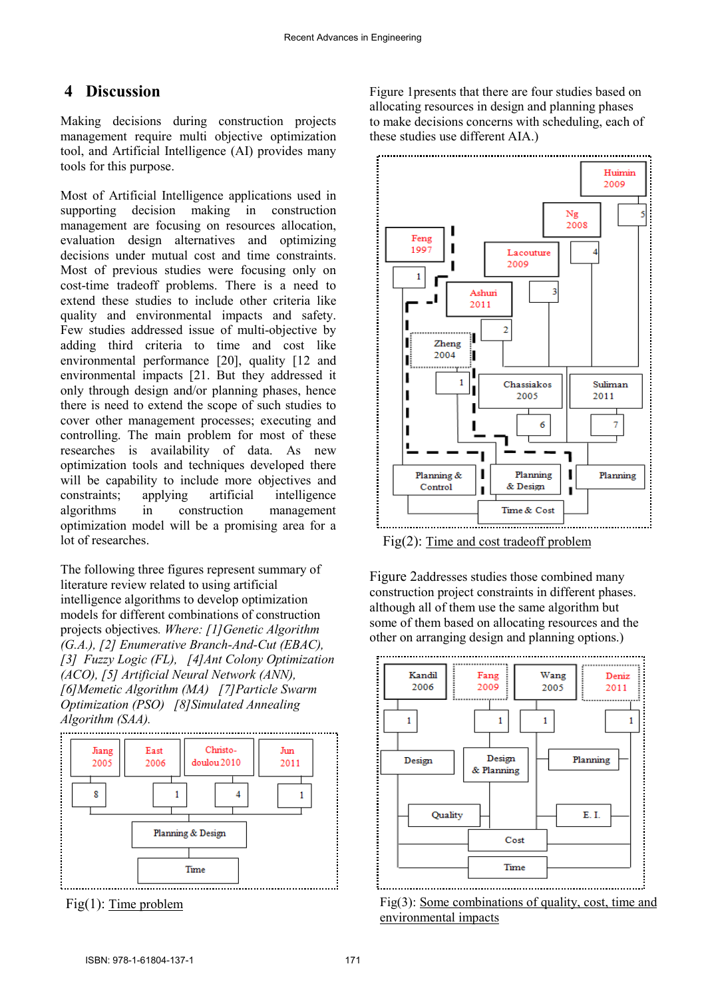### **4 Discussion**

Making decisions during construction projects management require multi objective optimization tool, and Artificial Intelligence (AI) provides many tools for this purpose.

Most of Artificial Intelligence applications used in supporting decision making in construction management are focusing on resources allocation, evaluation design alternatives and optimizing decisions under mutual cost and time constraints. Most of previous studies were focusing only on cost-time tradeoff problems. There is a need to extend these studies to include other criteria like quality and environmental impacts and safety. Few studies addressed issue of multi-objective by adding third criteria to time and cost like environmental performance [20], quality [12 and environmental impacts [21. But they addressed it only through design and/or planning phases, hence there is need to extend the scope of such studies to cover other management processes; executing and controlling. The main problem for most of these researches is availability of data. As new optimization tools and techniques developed there will be capability to include more objectives and constraints; applying artificial intelligence algorithms in construction management optimization model will be a promising area for a lot of researches.

The following three figures represent summary of literature review related to using artificial intelligence algorithms to develop optimization models for different combinations of construction projects objectives*. Where: [1]Genetic Algorithm (G.A.), [2] Enumerative Branch-And-Cut (EBAC), [3] Fuzzy Logic (FL), [4]Ant Colony Optimization (ACO), [5] Artificial Neural Network (ANN), [6]Memetic Algorithm (MA) [7]Particle Swarm Optimization (PSO) [8]Simulated Annealing Algorithm (SAA).* 



Fig(1): Time problem

Figure 1presents that there are four studies based on allocating resources in design and planning phases to make decisions concerns with scheduling, each of these studies use different AIA.)



Fig(2): Time and cost tradeoff problem

Figure 2addresses studies those combined many construction project constraints in different phases. although all of them use the same algorithm but some of them based on allocating resources and the other on arranging design and planning options.)



Fig(3): Some combinations of quality, cost, time and environmental impacts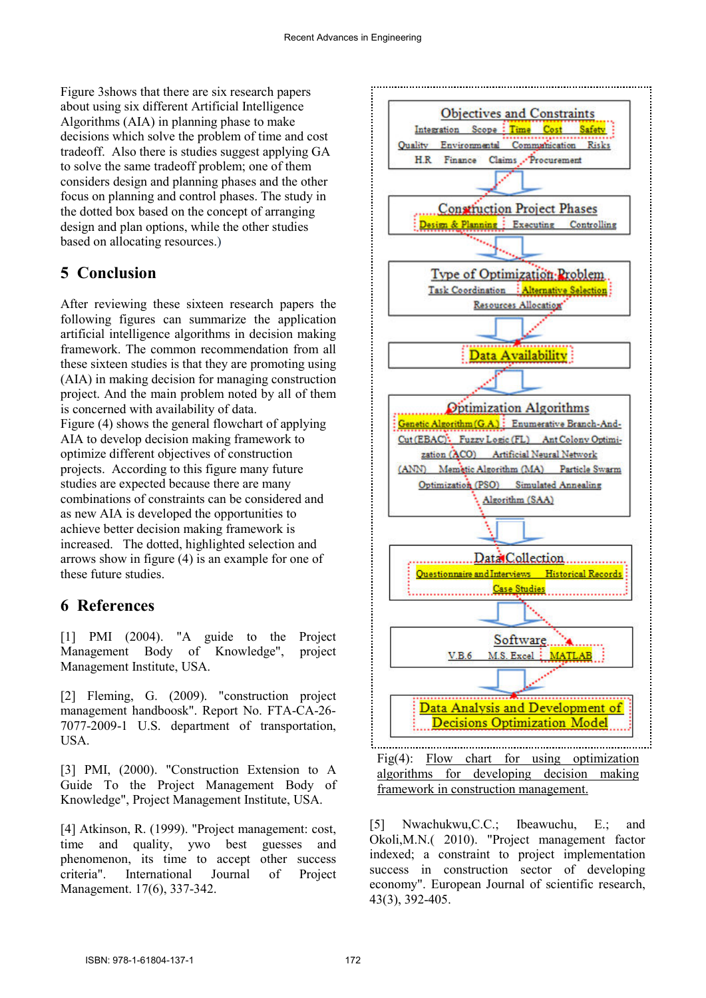Figure 3shows that there are six research papers about using six different Artificial Intelligence Algorithms (AIA) in planning phase to make decisions which solve the problem of time and cost tradeoff. Also there is studies suggest applying GA to solve the same tradeoff problem; one of them considers design and planning phases and the other focus on planning and control phases. The study in the dotted box based on the concept of arranging design and plan options, while the other studies based on allocating resources.)

### **5 Conclusion**

After reviewing these sixteen research papers the following figures can summarize the application artificial intelligence algorithms in decision making framework. The common recommendation from all these sixteen studies is that they are promoting using (AIA) in making decision for managing construction project. And the main problem noted by all of them is concerned with availability of data.

Figure (4) shows the general flowchart of applying AIA to develop decision making framework to optimize different objectives of construction projects. According to this figure many future studies are expected because there are many combinations of constraints can be considered and as new AIA is developed the opportunities to achieve better decision making framework is increased. The dotted, highlighted selection and arrows show in figure (4) is an example for one of these future studies.

#### **6 References**

[1] PMI (2004). "A guide to the Project Management Body of Knowledge", project Management Institute, USA.

[2] Fleming, G. (2009). "construction project management handboosk". Report No. FTA-CA-26- 7077-2009-1 U.S. department of transportation, USA.

[3] PMI, (2000). "Construction Extension to A Guide To the Project Management Body of Knowledge", Project Management Institute, USA.

[4] Atkinson, R. (1999). "Project management: cost, time and quality, ywo best guesses and phenomenon, its time to accept other success criteria". International Journal of Project Management. 17(6), 337-342.



Fig(4): Flow chart for using optimization algorithms for developing decision making framework in construction management.

[5] Nwachukwu,C.C.; Ibeawuchu, E.; and Okoli,M.N.( 2010). "Project management factor indexed; a constraint to project implementation success in construction sector of developing economy". European Journal of scientific research, 43(3), 392-405.